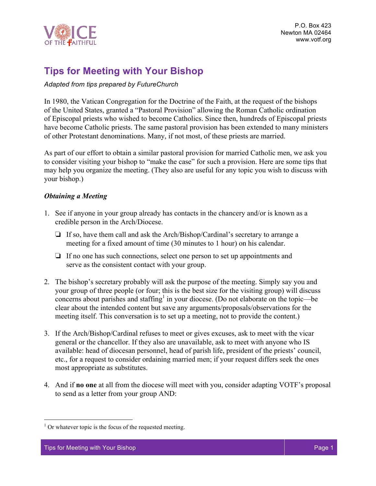

# **Tips for Meeting with Your Bishop**

*Adapted from tips prepared by FutureChurch*

In 1980, the Vatican Congregation for the Doctrine of the Faith, at the request of the bishops of the United States, granted a "Pastoral Provision" allowing the Roman Catholic ordination of Episcopal priests who wished to become Catholics. Since then, hundreds of Episcopal priests have become Catholic priests. The same pastoral provision has been extended to many ministers of other Protestant denominations. Many, if not most, of these priests are married.

As part of our effort to obtain a similar pastoral provision for married Catholic men, we ask you to consider visiting your bishop to "make the case" for such a provision. Here are some tips that may help you organize the meeting. (They also are useful for any topic you wish to discuss with your bishop.)

## *Obtaining a Meeting*

- 1. See if anyone in your group already has contacts in the chancery and/or is known as a credible person in the Arch/Diocese.
	- ❏ If so, have them call and ask the Arch/Bishop/Cardinal's secretary to arrange a meeting for a fixed amount of time (30 minutes to 1 hour) on his calendar.
	- ❏ If no one has such connections, select one person to set up appointments and serve as the consistent contact with your group.
- 2. The bishop's secretary probably will ask the purpose of the meeting. Simply say you and your group of three people (or four; this is the best size for the visiting group) will discuss concerns about parishes and staffing<sup>1</sup> in your diocese. (Do not elaborate on the topic—be clear about the intended content but save any arguments/proposals/observations for the meeting itself. This conversation is to set up a meeting, not to provide the content.)
- 3. If the Arch/Bishop/Cardinal refuses to meet or gives excuses, ask to meet with the vicar general or the chancellor. If they also are unavailable, ask to meet with anyone who IS available: head of diocesan personnel, head of parish life, president of the priests' council, etc., for a request to consider ordaining married men; if your request differs seek the ones most appropriate as substitutes.
- 4. And if **no one** at all from the diocese will meet with you, consider adapting VOTF's proposal to send as a letter from your group AND:

 $<sup>1</sup>$  Or whatever topic is the focus of the requested meeting.</sup>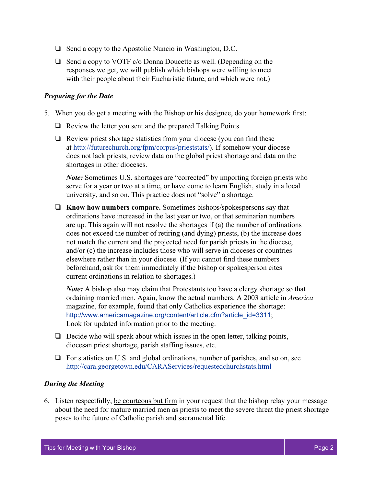- ❏ Send a copy to the Apostolic Nuncio in Washington, D.C.
- ❏ Send a copy to VOTF c/o Donna Doucette as well. (Depending on the responses we get, we will publish which bishops were willing to meet with their people about their Eucharistic future, and which were not.)

#### *Preparing for the Date*

- 5. When you do get a meeting with the Bishop or his designee, do your homework first:
	- ❏ Review the letter you sent and the prepared Talking Points.
	- ❏ Review priest shortage statistics from your diocese (you can find these at http://futurechurch.org/fpm/corpus/prieststats/). If somehow your diocese does not lack priests, review data on the global priest shortage and data on the shortages in other dioceses.

*Note:* Sometimes U.S. shortages are "corrected" by importing foreign priests who serve for a year or two at a time, or have come to learn English, study in a local university, and so on. This practice does not "solve" a shortage.

❏ **Know how numbers compare.** Sometimes bishops/spokespersons say that ordinations have increased in the last year or two, or that seminarian numbers are up. This again will not resolve the shortages if (a) the number of ordinations does not exceed the number of retiring (and dying) priests, (b) the increase does not match the current and the projected need for parish priests in the diocese, and/or (c) the increase includes those who will serve in dioceses or countries elsewhere rather than in your diocese. (If you cannot find these numbers beforehand, ask for them immediately if the bishop or spokesperson cites current ordinations in relation to shortages.)

*Note:* A bishop also may claim that Protestants too have a clergy shortage so that ordaining married men. Again, know the actual numbers. A 2003 article in *America* magazine, for example, found that only Catholics experience the shortage: http://www.americamagazine.org/content/article.cfm?article\_id=3311; Look for updated information prior to the meeting.

- ❏ Decide who will speak about which issues in the open letter, talking points, diocesan priest shortage, parish staffing issues, etc.
- ❏ For statistics on U.S. and global ordinations, number of parishes, and so on, see http://cara.georgetown.edu/CARAServices/requestedchurchstats.html

#### *During the Meeting*

6. Listen respectfully, be courteous but firm in your request that the bishop relay your message about the need for mature married men as priests to meet the severe threat the priest shortage poses to the future of Catholic parish and sacramental life.